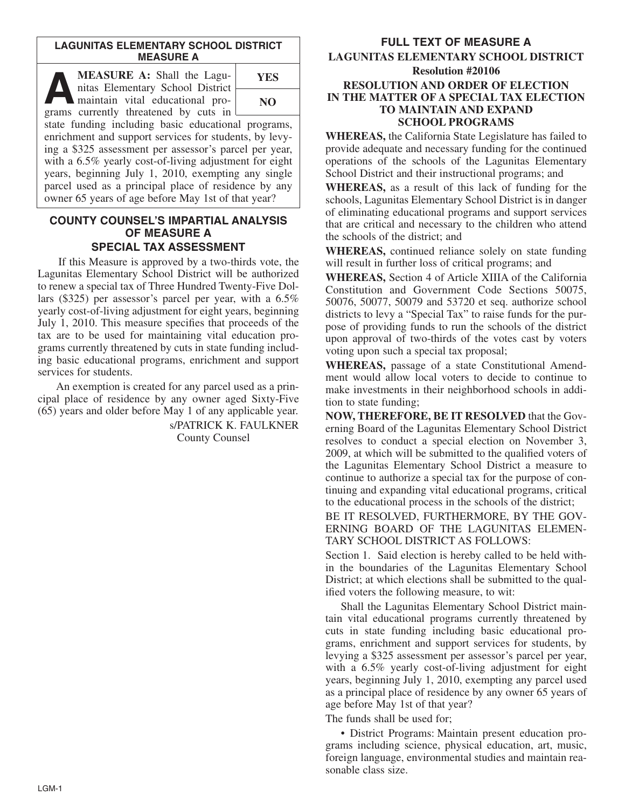#### **LAGUNITAS ELEMENTARY SCHOOL DISTRICT MEASURE A**

**ALEASURE A:** Shall the Lagunitas Elementary School District<br>maintain vital educational pronitas Elementary School District maintain vital educational programs currently threatened by cuts in state funding including basic educational programs, enrichment and support services for students, by levying a \$325 assessment per assessor's parcel per year, with a 6.5% yearly cost-of-living adjustment for eight years, beginning July 1, 2010, exempting any single parcel used as a principal place of residence by any owner 65 years of age before May 1st of that year? **YES NO**

## **COUNTY COUNSEL'S IMPARTIAL ANALYSIS OF MEASURE A SPECIAL TAX ASSESSMENT**

If this Measure is approved by a two-thirds vote, the Lagunitas Elementary School District will be authorized to renew a special tax of Three Hundred Twenty-Five Dollars (\$325) per assessor's parcel per year, with a 6.5% yearly cost-of-living adjustment for eight years, beginning July 1, 2010. This measure specifies that proceeds of the tax are to be used for maintaining vital education programs currently threatened by cuts in state funding including basic educational programs, enrichment and support services for students.

An exemption is created for any parcel used as a principal place of residence by any owner aged Sixty-Five (65) years and older before May 1 of any applicable year.

> s/PATRICK K. FAULKNER County Counsel

# **FULL TEXT OF MEASURE A LAGUNITAS ELEMENTARY SCHOOL DISTRICT Resolution #20106 RESOLUTION AND ORDER OF ELECTION IN THE MATTER OF A SPECIAL TAX ELECTION TO MAINTAIN AND EXPAND SCHOOL PROGRAMS**

**WHEREAS,** the California State Legislature has failed to provide adequate and necessary funding for the continued operations of the schools of the Lagunitas Elementary School District and their instructional programs; and

**WHEREAS,** as a result of this lack of funding for the schools, Lagunitas Elementary School District is in danger of eliminating educational programs and support services that are critical and necessary to the children who attend the schools of the district; and

**WHEREAS,** continued reliance solely on state funding will result in further loss of critical programs; and

**WHEREAS,** Section 4 of Article XIIIA of the California Constitution and Government Code Sections 50075, 50076, 50077, 50079 and 53720 et seq. authorize school districts to levy a "Special Tax" to raise funds for the purpose of providing funds to run the schools of the district upon approval of two-thirds of the votes cast by voters voting upon such a special tax proposal;

**WHEREAS,** passage of a state Constitutional Amendment would allow local voters to decide to continue to make investments in their neighborhood schools in addition to state funding;

**NOW, THEREFORE, BE IT RESOLVED** that the Governing Board of the Lagunitas Elementary School District resolves to conduct a special election on November 3, 2009, at which will be submitted to the qualified voters of the Lagunitas Elementary School District a measure to continue to authorize a special tax for the purpose of continuing and expanding vital educational programs, critical to the educational process in the schools of the district;

BE IT RESOLVED, FURTHERMORE, BY THE GOV-ERNING BOARD OF THE LAGUNITAS ELEMEN-TARY SCHOOL DISTRICT AS FOLLOWS:

Section 1. Said election is hereby called to be held within the boundaries of the Lagunitas Elementary School District; at which elections shall be submitted to the qualified voters the following measure, to wit:

Shall the Lagunitas Elementary School District maintain vital educational programs currently threatened by cuts in state funding including basic educational programs, enrichment and support services for students, by levying a \$325 assessment per assessor's parcel per year, with a 6.5% yearly cost-of-living adjustment for eight years, beginning July 1, 2010, exempting any parcel used as a principal place of residence by any owner 65 years of age before May 1st of that year?

The funds shall be used for;

• District Programs: Maintain present education programs including science, physical education, art, music, foreign language, environmental studies and maintain reasonable class size.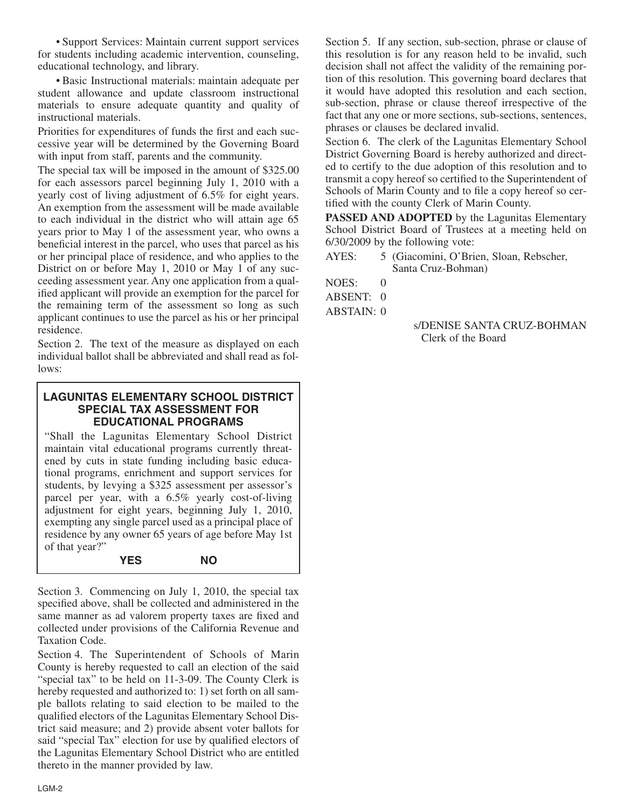• Support Services: Maintain current support services for students including academic intervention, counseling, educational technology, and library.

• Basic Instructional materials: maintain adequate per student allowance and update classroom instructional materials to ensure adequate quantity and quality of instructional materials.

Priorities for expenditures of funds the first and each successive year will be determined by the Governing Board with input from staff, parents and the community.

The special tax will be imposed in the amount of \$325.00 for each assessors parcel beginning July 1, 2010 with a yearly cost of living adjustment of 6.5% for eight years. An exemption from the assessment will be made available to each individual in the district who will attain age 65 years prior to May 1 of the assessment year, who owns a beneficial interest in the parcel, who uses that parcel as his or her principal place of residence, and who applies to the District on or before May 1, 2010 or May 1 of any succeeding assessment year. Any one application from a qualified applicant will provide an exemption for the parcel for the remaining term of the assessment so long as such applicant continues to use the parcel as his or her principal residence.

Section 2. The text of the measure as displayed on each individual ballot shall be abbreviated and shall read as follows:

### **LAGUNITAS ELEMENTARY SCHOOL DISTRICT SPECIAL TAX ASSESSMENT FOR EDUCATIONAL PROGRAMS**

"Shall the Lagunitas Elementary School District maintain vital educational programs currently threatened by cuts in state funding including basic educational programs, enrichment and support services for students, by levying a \$325 assessment per assessor's parcel per year, with a 6.5% yearly cost-of-living adjustment for eight years, beginning July 1, 2010, exempting any single parcel used as a principal place of residence by any owner 65 years of age before May 1st of that year?"

#### **YES NO**

Section 3. Commencing on July 1, 2010, the special tax specified above, shall be collected and administered in the same manner as ad valorem property taxes are fixed and collected under provisions of the California Revenue and Taxation Code.

Section 4. The Superintendent of Schools of Marin County is hereby requested to call an election of the said "special tax" to be held on 11-3-09. The County Clerk is hereby requested and authorized to: 1) set forth on all sample ballots relating to said election to be mailed to the qualified electors of the Lagunitas Elementary School District said measure; and 2) provide absent voter ballots for said "special Tax" election for use by qualified electors of the Lagunitas Elementary School District who are entitled thereto in the manner provided by law.

Section 5. If any section, sub-section, phrase or clause of this resolution is for any reason held to be invalid, such decision shall not affect the validity of the remaining portion of this resolution. This governing board declares that it would have adopted this resolution and each section, sub-section, phrase or clause thereof irrespective of the fact that any one or more sections, sub-sections, sentences, phrases or clauses be declared invalid.

Section 6. The clerk of the Lagunitas Elementary School District Governing Board is hereby authorized and directed to certify to the due adoption of this resolution and to transmit a copy hereof so certified to the Superintendent of Schools of Marin County and to file a copy hereof so certified with the county Clerk of Marin County.

**PASSED AND ADOPTED** by the Lagunitas Elementary School District Board of Trustees at a meeting held on 6/30/2009 by the following vote:

- AYES: 5 (Giacomini, O'Brien, Sloan, Rebscher, Santa Cruz-Bohman)
- NOES: 0
- ABSENT: 0
- ABSTAIN: 0

s/DENISE SANTA CRUZ-BOHMAN Clerk of the Board